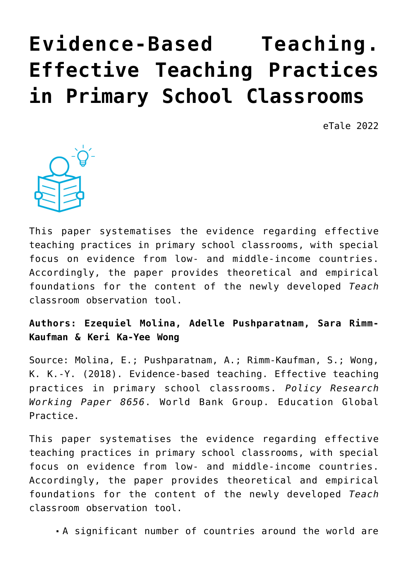# **[Evidence-Based Teaching.](https://dev.taleafrica.com/2020/11/30/evidence-based-teaching-effective-teaching-practices-in-primary-school-classrooms/) [Effective Teaching Practices](https://dev.taleafrica.com/2020/11/30/evidence-based-teaching-effective-teaching-practices-in-primary-school-classrooms/) [in Primary School Classrooms](https://dev.taleafrica.com/2020/11/30/evidence-based-teaching-effective-teaching-practices-in-primary-school-classrooms/)**

eTale 2022



This paper systematises the evidence regarding effective teaching practices in primary school classrooms, with special focus on evidence from low- and middle-income countries. Accordingly, the paper provides theoretical and empirical foundations for the content of the newly developed *Teach* classroom observation tool.

**Authors: Ezequiel Molina, Adelle Pushparatnam, Sara Rimm-Kaufman & Keri Ka-Yee Wong**

Source: Molina, E.; Pushparatnam, A.; Rimm-Kaufman, S.; Wong, K. K.-Y. (2018). Evidence-based teaching. Effective teaching practices in primary school classrooms. *Policy Research Working Paper 8656*. World Bank Group. Education Global Practice.

This paper systematises the evidence regarding effective teaching practices in primary school classrooms, with special focus on evidence from low- and middle-income countries. Accordingly, the paper provides theoretical and empirical foundations for the content of the newly developed *Teach* classroom observation tool.

A significant number of countries around the world are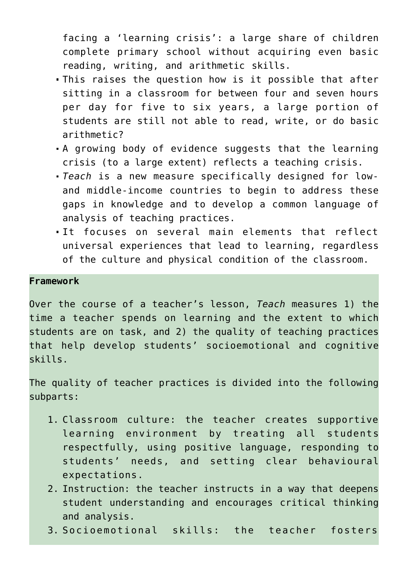facing a 'learning crisis': a large share of children complete primary school without acquiring even basic reading, writing, and arithmetic skills.

- This raises the question how is it possible that after sitting in a classroom for between four and seven hours per day for five to six years, a large portion of students are still not able to read, write, or do basic arithmetic?
- A growing body of evidence suggests that the learning crisis (to a large extent) reflects a teaching crisis.
- *Teach* is a new measure specifically designed for lowand middle-income countries to begin to address these gaps in knowledge and to develop a common language of analysis of teaching practices.
- It focuses on several main elements that reflect universal experiences that lead to learning, regardless of the culture and physical condition of the classroom.

#### **Framework**

Over the course of a teacher's lesson, *Teach* measures 1) the time a teacher spends on learning and the extent to which students are on task, and 2) the quality of teaching practices that help develop students' socioemotional and cognitive skills.

The quality of teacher practices is divided into the following subparts:

- 1. Classroom culture: the teacher creates supportive learning environment by treating all students respectfully, using positive language, responding to students' needs, and setting clear behavioural expectations.
- 2. Instruction: the teacher instructs in a way that deepens student understanding and encourages critical thinking and analysis.
- 3. Socioemotional skills: the teacher fosters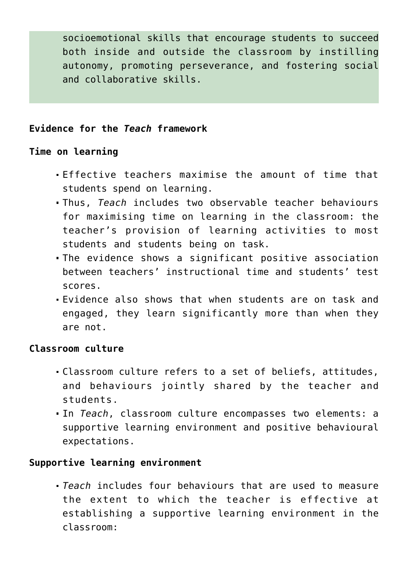socioemotional skills that encourage students to succeed both inside and outside the classroom by instilling autonomy, promoting perseverance, and fostering social and collaborative skills.

### **Evidence for the** *Teach* **framework**

#### **Time on learning**

- Effective teachers maximise the amount of time that students spend on learning.
- Thus, *Teach* includes two observable teacher behaviours for maximising time on learning in the classroom: the teacher's provision of learning activities to most students and students being on task.
- The evidence shows a significant positive association between teachers' instructional time and students' test scores.
- Evidence also shows that when students are on task and engaged, they learn significantly more than when they are not.

#### **Classroom culture**

- Classroom culture refers to a set of beliefs, attitudes, and behaviours jointly shared by the teacher and students.
- In *Teach*, classroom culture encompasses two elements: a supportive learning environment and positive behavioural expectations.

### **Supportive learning environment**

*Teach* includes four behaviours that are used to measure the extent to which the teacher is effective at establishing a supportive learning environment in the classroom: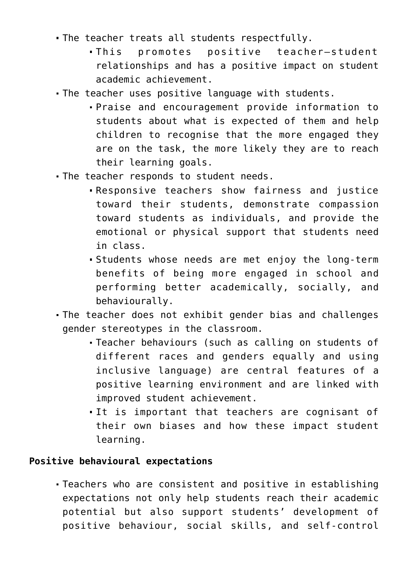- The teacher treats all students respectfully.
	- This promotes positive teacher–student relationships and has a positive impact on student academic achievement.
- The teacher uses positive language with students.
	- Praise and encouragement provide information to students about what is expected of them and help children to recognise that the more engaged they are on the task, the more likely they are to reach their learning goals.
- The teacher responds to student needs.
	- Responsive teachers show fairness and justice toward their students, demonstrate compassion toward students as individuals, and provide the emotional or physical support that students need in class.
	- Students whose needs are met enjoy the long-term benefits of being more engaged in school and performing better academically, socially, and behaviourally.
- The teacher does not exhibit gender bias and challenges gender stereotypes in the classroom.
	- Teacher behaviours (such as calling on students of different races and genders equally and using inclusive language) are central features of a positive learning environment and are linked with improved student achievement.
	- It is important that teachers are cognisant of their own biases and how these impact student learning.

# **Positive behavioural expectations**

Teachers who are consistent and positive in establishing expectations not only help students reach their academic potential but also support students' development of positive behaviour, social skills, and self-control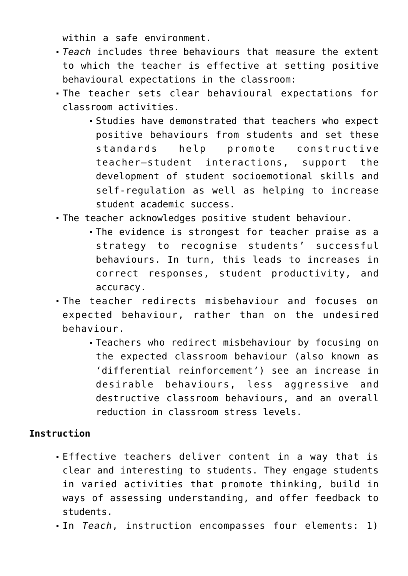within a safe environment.

- *Teach* includes three behaviours that measure the extent to which the teacher is effective at setting positive behavioural expectations in the classroom:
- The teacher sets clear behavioural expectations for classroom activities.
	- Studies have demonstrated that teachers who expect positive behaviours from students and set these standards help promote constructive teacher–student interactions, support the development of student socioemotional skills and self-regulation as well as helping to increase student academic success.
- The teacher acknowledges positive student behaviour.
	- The evidence is strongest for teacher praise as a strategy to recognise students' successful behaviours. In turn, this leads to increases in correct responses, student productivity, and accuracy.
- The teacher redirects misbehaviour and focuses on expected behaviour, rather than on the undesired behaviour.
	- Teachers who redirect misbehaviour by focusing on the expected classroom behaviour (also known as 'differential reinforcement') see an increase in desirable behaviours, less aggressive and destructive classroom behaviours, and an overall reduction in classroom stress levels.

# **Instruction**

- Effective teachers deliver content in a way that is clear and interesting to students. They engage students in varied activities that promote thinking, build in ways of assessing understanding, and offer feedback to students.
- In *Teach*, instruction encompasses four elements: 1)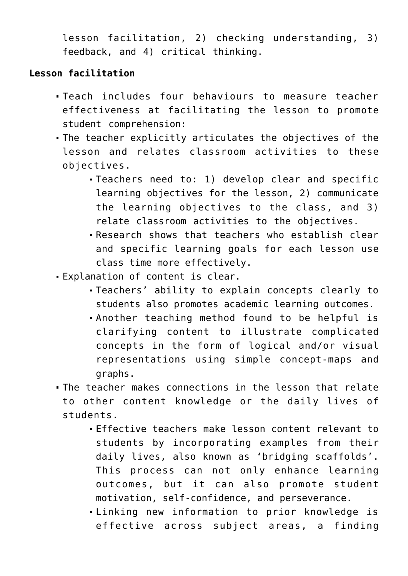lesson facilitation, 2) checking understanding, 3) feedback, and 4) critical thinking.

## **Lesson facilitation**

- Teach includes four behaviours to measure teacher effectiveness at facilitating the lesson to promote student comprehension:
- The teacher explicitly articulates the objectives of the lesson and relates classroom activities to these objectives.
	- Teachers need to: 1) develop clear and specific learning objectives for the lesson, 2) communicate the learning objectives to the class, and 3) relate classroom activities to the objectives.
	- Research shows that teachers who establish clear and specific learning goals for each lesson use class time more effectively.
- Explanation of content is clear.
	- Teachers' ability to explain concepts clearly to students also promotes academic learning outcomes.
	- Another teaching method found to be helpful is clarifying content to illustrate complicated concepts in the form of logical and/or visual representations using simple concept-maps and graphs.
- The teacher makes connections in the lesson that relate to other content knowledge or the daily lives of students.
	- Effective teachers make lesson content relevant to students by incorporating examples from their daily lives, also known as 'bridging scaffolds'. This process can not only enhance learning outcomes, but it can also promote student motivation, self-confidence, and perseverance.
	- Linking new information to prior knowledge is effective across subject areas, a finding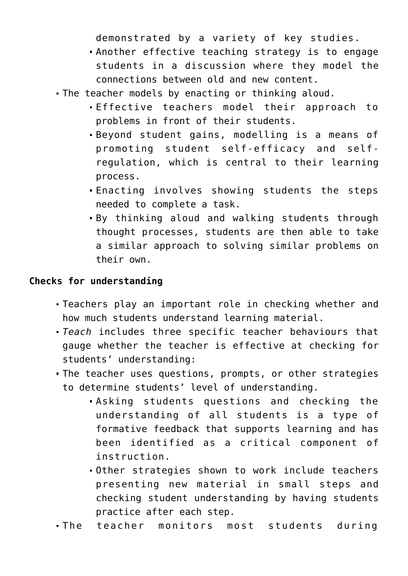demonstrated by a variety of key studies.

- Another effective teaching strategy is to engage students in a discussion where they model the connections between old and new content.
- The teacher models by enacting or thinking aloud.
	- Effective teachers model their approach to problems in front of their students.
	- Beyond student gains, modelling is a means of promoting student self-efficacy and selfregulation, which is central to their learning process.
	- Enacting involves showing students the steps needed to complete a task.
	- By thinking aloud and walking students through thought processes, students are then able to take a similar approach to solving similar problems on their own.

### **Checks for understanding**

- Teachers play an important role in checking whether and how much students understand learning material.
- *Teach* includes three specific teacher behaviours that gauge whether the teacher is effective at checking for students' understanding:
- The teacher uses questions, prompts, or other strategies to determine students' level of understanding.
	- Asking students questions and checking the understanding of all students is a type of formative feedback that supports learning and has been identified as a critical component of instruction.
	- Other strategies shown to work include teachers presenting new material in small steps and checking student understanding by having students practice after each step.
- The teacher monitors most students during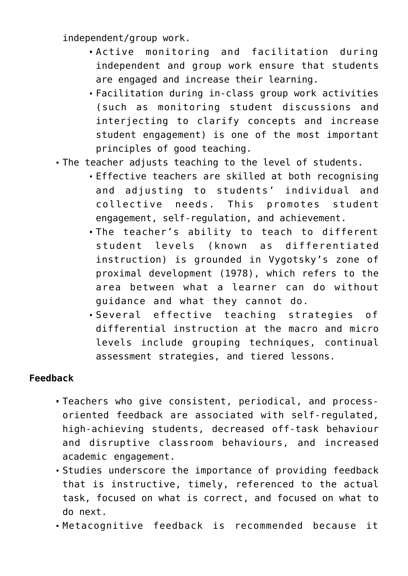independent/group work.

- Active monitoring and facilitation during independent and group work ensure that students are engaged and increase their learning.
- Facilitation during in-class group work activities (such as monitoring student discussions and interjecting to clarify concepts and increase student engagement) is one of the most important principles of good teaching.
- The teacher adjusts teaching to the level of students.
	- Effective teachers are skilled at both recognising and adjusting to students' individual and collective needs. This promotes student engagement, self-regulation, and achievement.
	- The teacher's ability to teach to different student levels (known as differentiated instruction) is grounded in Vygotsky's zone of proximal development (1978), which refers to the area between what a learner can do without guidance and what they cannot do.
	- Several effective teaching strategies of differential instruction at the macro and micro levels include grouping techniques, continual assessment strategies, and tiered lessons.

### **Feedback**

- Teachers who give consistent, periodical, and processoriented feedback are associated with self-regulated, high-achieving students, decreased off-task behaviour and disruptive classroom behaviours, and increased academic engagement.
- Studies underscore the importance of providing feedback that is instructive, timely, referenced to the actual task, focused on what is correct, and focused on what to do next.
- Metacognitive feedback is recommended because it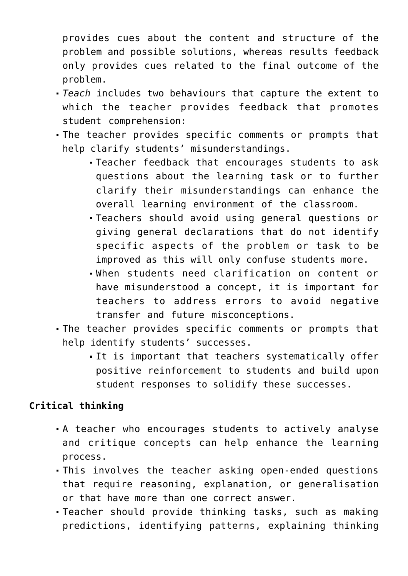provides cues about the content and structure of the problem and possible solutions, whereas results feedback only provides cues related to the final outcome of the problem.

- *Teach* includes two behaviours that capture the extent to which the teacher provides feedback that promotes student comprehension:
- The teacher provides specific comments or prompts that help clarify students' misunderstandings.
	- Teacher feedback that encourages students to ask questions about the learning task or to further clarify their misunderstandings can enhance the overall learning environment of the classroom.
	- Teachers should avoid using general questions or giving general declarations that do not identify specific aspects of the problem or task to be improved as this will only confuse students more.
	- When students need clarification on content or have misunderstood a concept, it is important for teachers to address errors to avoid negative transfer and future misconceptions.
- The teacher provides specific comments or prompts that help identify students' successes.
	- It is important that teachers systematically offer positive reinforcement to students and build upon student responses to solidify these successes.

## **Critical thinking**

- A teacher who encourages students to actively analyse and critique concepts can help enhance the learning process.
- This involves the teacher asking open-ended questions that require reasoning, explanation, or generalisation or that have more than one correct answer.
- Teacher should provide thinking tasks, such as making predictions, identifying patterns, explaining thinking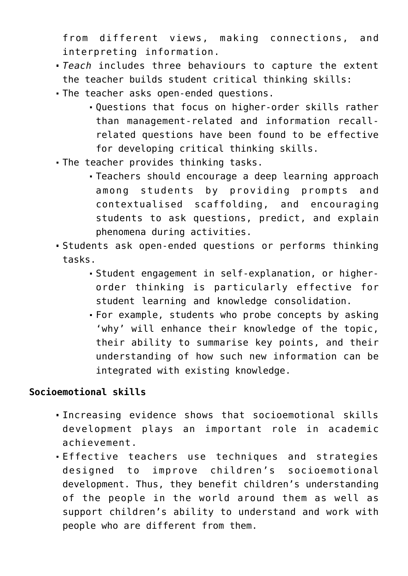from different views, making connections, and interpreting information.

- *Teach* includes three behaviours to capture the extent the teacher builds student critical thinking skills:
- The teacher asks open-ended questions.
	- Questions that focus on higher-order skills rather than management-related and information recallrelated questions have been found to be effective for developing critical thinking skills.
- The teacher provides thinking tasks.
	- Teachers should encourage a deep learning approach among students by providing prompts and contextualised scaffolding, and encouraging students to ask questions, predict, and explain phenomena during activities.
- Students ask open-ended questions or performs thinking tasks.
	- Student engagement in self-explanation, or higherorder thinking is particularly effective for student learning and knowledge consolidation.
	- For example, students who probe concepts by asking 'why' will enhance their knowledge of the topic, their ability to summarise key points, and their understanding of how such new information can be integrated with existing knowledge.

## **Socioemotional skills**

- Increasing evidence shows that socioemotional skills development plays an important role in academic achievement.
- Effective teachers use techniques and strategies designed to improve children's socioemotional development. Thus, they benefit children's understanding of the people in the world around them as well as support children's ability to understand and work with people who are different from them.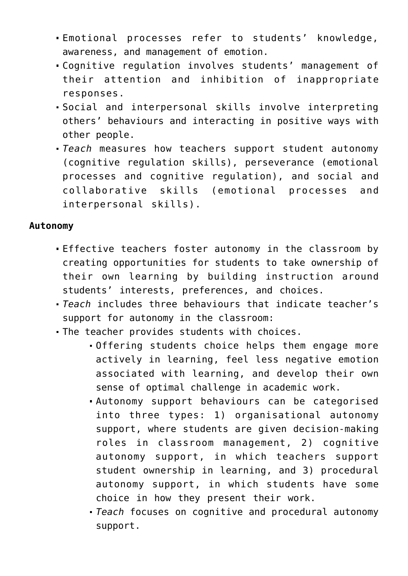- Emotional processes refer to students' knowledge, awareness, and management of emotion.
- Cognitive regulation involves students' management of their attention and inhibition of inappropriate responses.
- Social and interpersonal skills involve interpreting others' behaviours and interacting in positive ways with other people.
- *Teach* measures how teachers support student autonomy (cognitive regulation skills), perseverance (emotional processes and cognitive regulation), and social and collaborative skills (emotional processes and interpersonal skills).

### **Autonomy**

- Effective teachers foster autonomy in the classroom by creating opportunities for students to take ownership of their own learning by building instruction around students' interests, preferences, and choices.
- *Teach* includes three behaviours that indicate teacher's support for autonomy in the classroom:
- The teacher provides students with choices.
	- Offering students choice helps them engage more actively in learning, feel less negative emotion associated with learning, and develop their own sense of optimal challenge in academic work.
	- Autonomy support behaviours can be categorised into three types: 1) organisational autonomy support, where students are given decision-making roles in classroom management, 2) cognitive autonomy support, in which teachers support student ownership in learning, and 3) procedural autonomy support, in which students have some choice in how they present their work.
	- *Teach* focuses on cognitive and procedural autonomy support.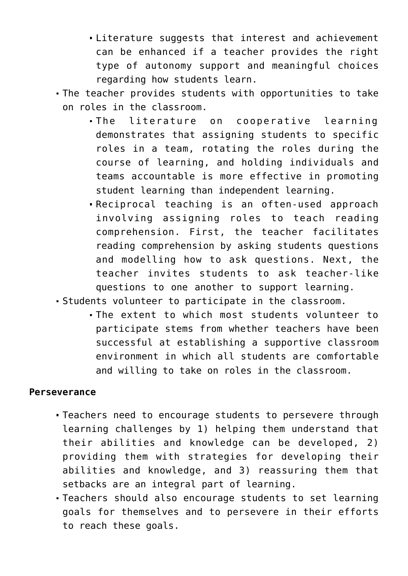- Literature suggests that interest and achievement can be enhanced if a teacher provides the right type of autonomy support and meaningful choices regarding how students learn.
- The teacher provides students with opportunities to take on roles in the classroom.
	- The literature on cooperative learning demonstrates that assigning students to specific roles in a team, rotating the roles during the course of learning, and holding individuals and teams accountable is more effective in promoting student learning than independent learning.
	- Reciprocal teaching is an often-used approach involving assigning roles to teach reading comprehension. First, the teacher facilitates reading comprehension by asking students questions and modelling how to ask questions. Next, the teacher invites students to ask teacher-like questions to one another to support learning.
- Students volunteer to participate in the classroom.
	- The extent to which most students volunteer to participate stems from whether teachers have been successful at establishing a supportive classroom environment in which all students are comfortable and willing to take on roles in the classroom.

#### **Perseverance**

- Teachers need to encourage students to persevere through learning challenges by 1) helping them understand that their abilities and knowledge can be developed, 2) providing them with strategies for developing their abilities and knowledge, and 3) reassuring them that setbacks are an integral part of learning.
- Teachers should also encourage students to set learning goals for themselves and to persevere in their efforts to reach these goals.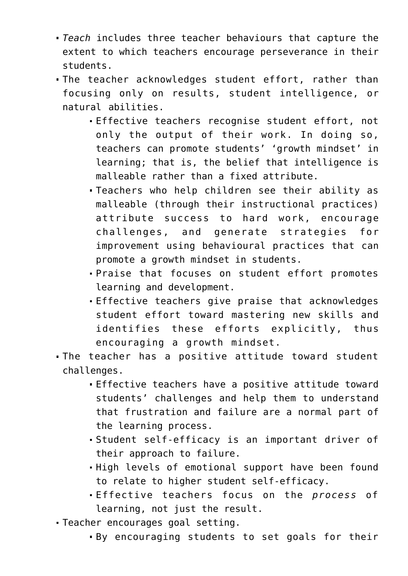- *Teach* includes three teacher behaviours that capture the extent to which teachers encourage perseverance in their students.
- The teacher acknowledges student effort, rather than focusing only on results, student intelligence, or natural abilities.
	- Effective teachers recognise student effort, not only the output of their work. In doing so, teachers can promote students' 'growth mindset' in learning; that is, the belief that intelligence is malleable rather than a fixed attribute.
	- Teachers who help children see their ability as malleable (through their instructional practices) attribute success to hard work, encourage challenges, and generate strategies for improvement using behavioural practices that can promote a growth mindset in students.
	- Praise that focuses on student effort promotes learning and development.
	- Effective teachers give praise that acknowledges student effort toward mastering new skills and identifies these efforts explicitly, thus encouraging a growth mindset.
- The teacher has a positive attitude toward student challenges.
	- Effective teachers have a positive attitude toward students' challenges and help them to understand that frustration and failure are a normal part of the learning process.
	- Student self-efficacy is an important driver of their approach to failure.
	- High levels of emotional support have been found to relate to higher student self-efficacy.
	- Effective teachers focus on the *process* of learning, not just the result.
- Teacher encourages goal setting.
	- By encouraging students to set goals for their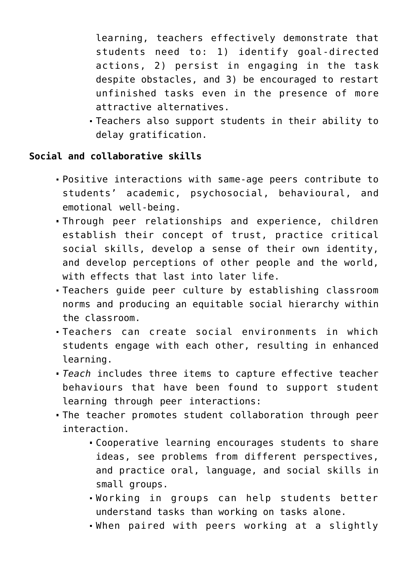learning, teachers effectively demonstrate that students need to: 1) identify goal-directed actions, 2) persist in engaging in the task despite obstacles, and 3) be encouraged to restart unfinished tasks even in the presence of more attractive alternatives.

Teachers also support students in their ability to delay gratification.

## **Social and collaborative skills**

- Positive interactions with same-age peers contribute to students' academic, psychosocial, behavioural, and emotional well-being.
- Through peer relationships and experience, children establish their concept of trust, practice critical social skills, develop a sense of their own identity, and develop perceptions of other people and the world, with effects that last into later life.
- Teachers guide peer culture by establishing classroom norms and producing an equitable social hierarchy within the classroom.
- Teachers can create social environments in which students engage with each other, resulting in enhanced learning.
- *Teach* includes three items to capture effective teacher behaviours that have been found to support student learning through peer interactions:
- The teacher promotes student collaboration through peer interaction.
	- Cooperative learning encourages students to share ideas, see problems from different perspectives, and practice oral, language, and social skills in small groups.
	- Working in groups can help students better understand tasks than working on tasks alone.
	- When paired with peers working at a slightly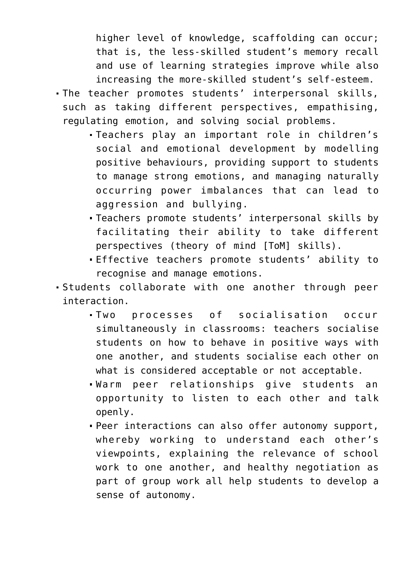higher level of knowledge, scaffolding can occur; that is, the less-skilled student's memory recall and use of learning strategies improve while also increasing the more-skilled student's self-esteem.

- The teacher promotes students' interpersonal skills, such as taking different perspectives, empathising, regulating emotion, and solving social problems.
	- Teachers play an important role in children's social and emotional development by modelling positive behaviours, providing support to students to manage strong emotions, and managing naturally occurring power imbalances that can lead to aggression and bullying.
	- Teachers promote students' interpersonal skills by facilitating their ability to take different perspectives (theory of mind [ToM] skills).
	- Effective teachers promote students' ability to recognise and manage emotions.
- Students collaborate with one another through peer interaction.
	- Two processes of socialisation occur simultaneously in classrooms: teachers socialise students on how to behave in positive ways with one another, and students socialise each other on what is considered acceptable or not acceptable.
	- Warm peer relationships give students an opportunity to listen to each other and talk openly.
	- Peer interactions can also offer autonomy support, whereby working to understand each other's viewpoints, explaining the relevance of school work to one another, and healthy negotiation as part of group work all help students to develop a sense of autonomy.